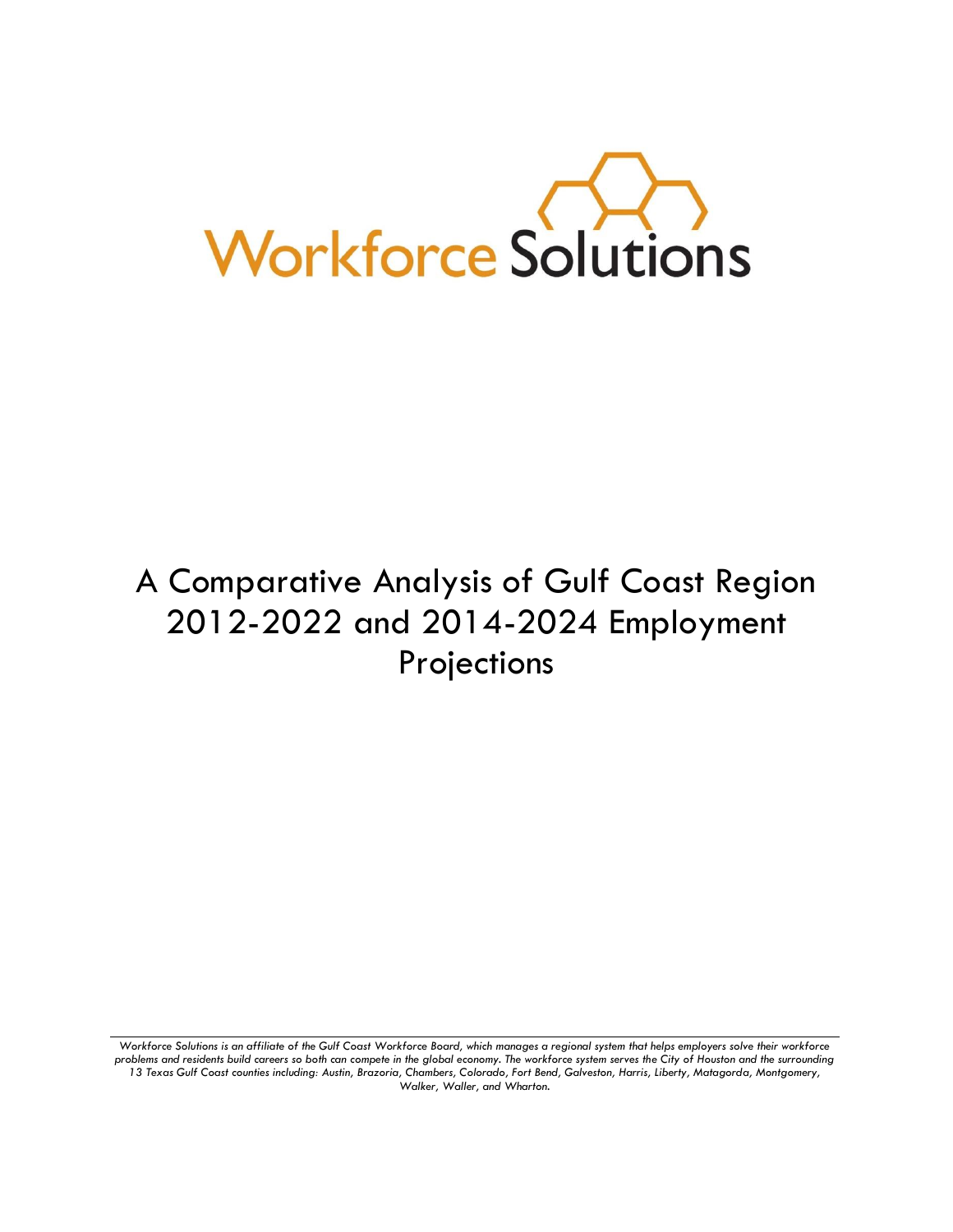

# A Comparative Analysis of Gulf Coast Region 2012-2022 and 2014-2024 Employment Projections

*Workforce Solutions is an affiliate of the Gulf Coast Workforce Board, which manages a regional system that helps employers solve their workforce problems and residents build careers so both can compete in the global economy. The workforce system serves the City of Houston and the surrounding 13 Texas Gulf Coast counties including: Austin, Brazoria, Chambers, Colorado, Fort Bend, Galveston, Harris, Liberty, Matagorda, Montgomery, Walker, Waller, and Wharton.*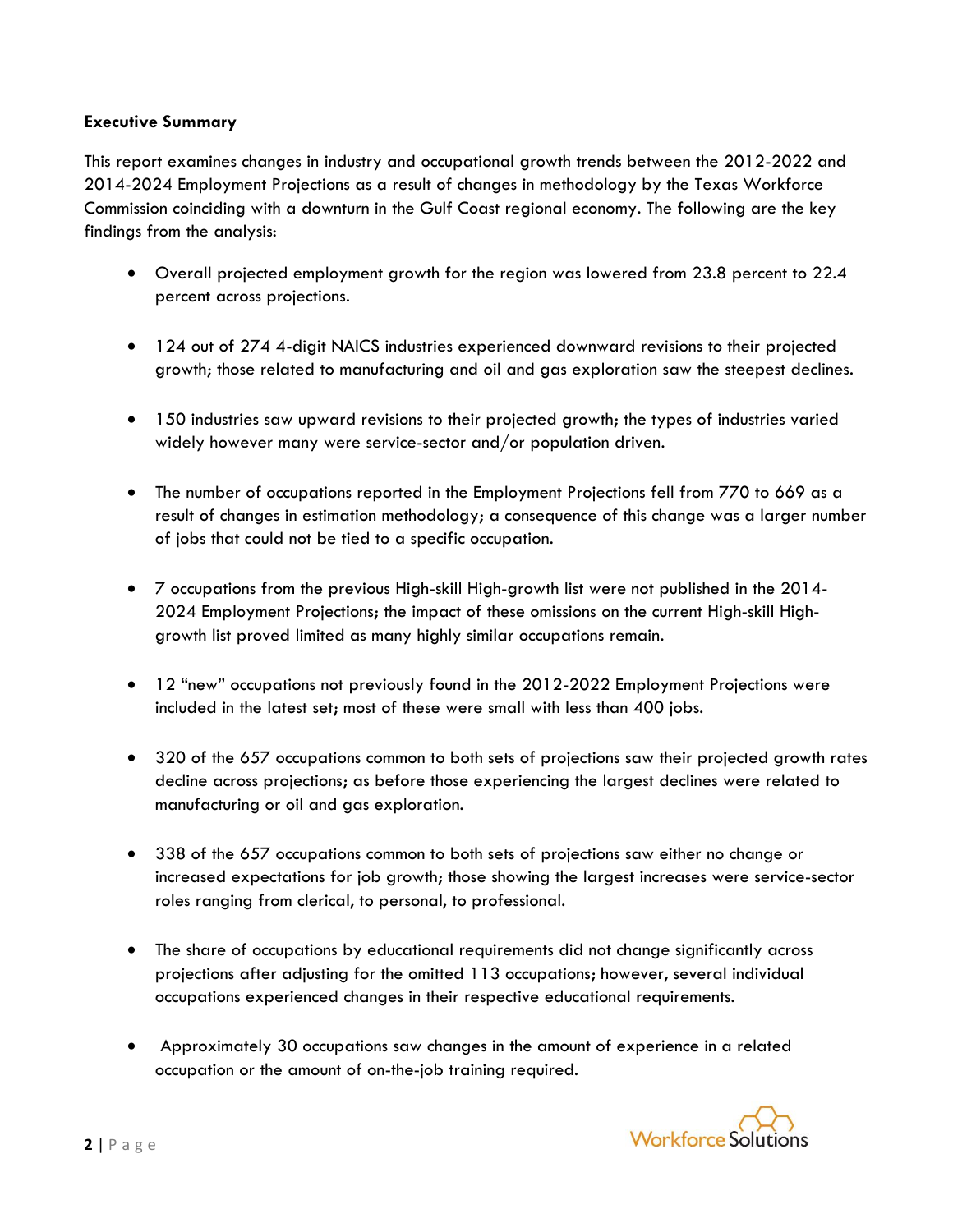## **Executive Summary**

This report examines changes in industry and occupational growth trends between the 2012-2022 and 2014-2024 Employment Projections as a result of changes in methodology by the Texas Workforce Commission coinciding with a downturn in the Gulf Coast regional economy. The following are the key findings from the analysis:

- Overall projected employment growth for the region was lowered from 23.8 percent to 22.4 percent across projections.
- 124 out of 274 4-digit NAICS industries experienced downward revisions to their projected growth; those related to manufacturing and oil and gas exploration saw the steepest declines.
- 150 industries saw upward revisions to their projected growth; the types of industries varied widely however many were service-sector and/or population driven.
- The number of occupations reported in the Employment Projections fell from 770 to 669 as a result of changes in estimation methodology; a consequence of this change was a larger number of jobs that could not be tied to a specific occupation.
- 7 occupations from the previous High-skill High-growth list were not published in the 2014- 2024 Employment Projections; the impact of these omissions on the current High-skill Highgrowth list proved limited as many highly similar occupations remain.
- 12 "new" occupations not previously found in the 2012-2022 Employment Projections were included in the latest set; most of these were small with less than 400 jobs.
- 320 of the 657 occupations common to both sets of projections saw their projected growth rates decline across projections; as before those experiencing the largest declines were related to manufacturing or oil and gas exploration.
- 338 of the 657 occupations common to both sets of projections saw either no change or increased expectations for job growth; those showing the largest increases were service-sector roles ranging from clerical, to personal, to professional.
- The share of occupations by educational requirements did not change significantly across projections after adjusting for the omitted 113 occupations; however, several individual occupations experienced changes in their respective educational requirements.
- Approximately 30 occupations saw changes in the amount of experience in a related occupation or the amount of on-the-job training required.

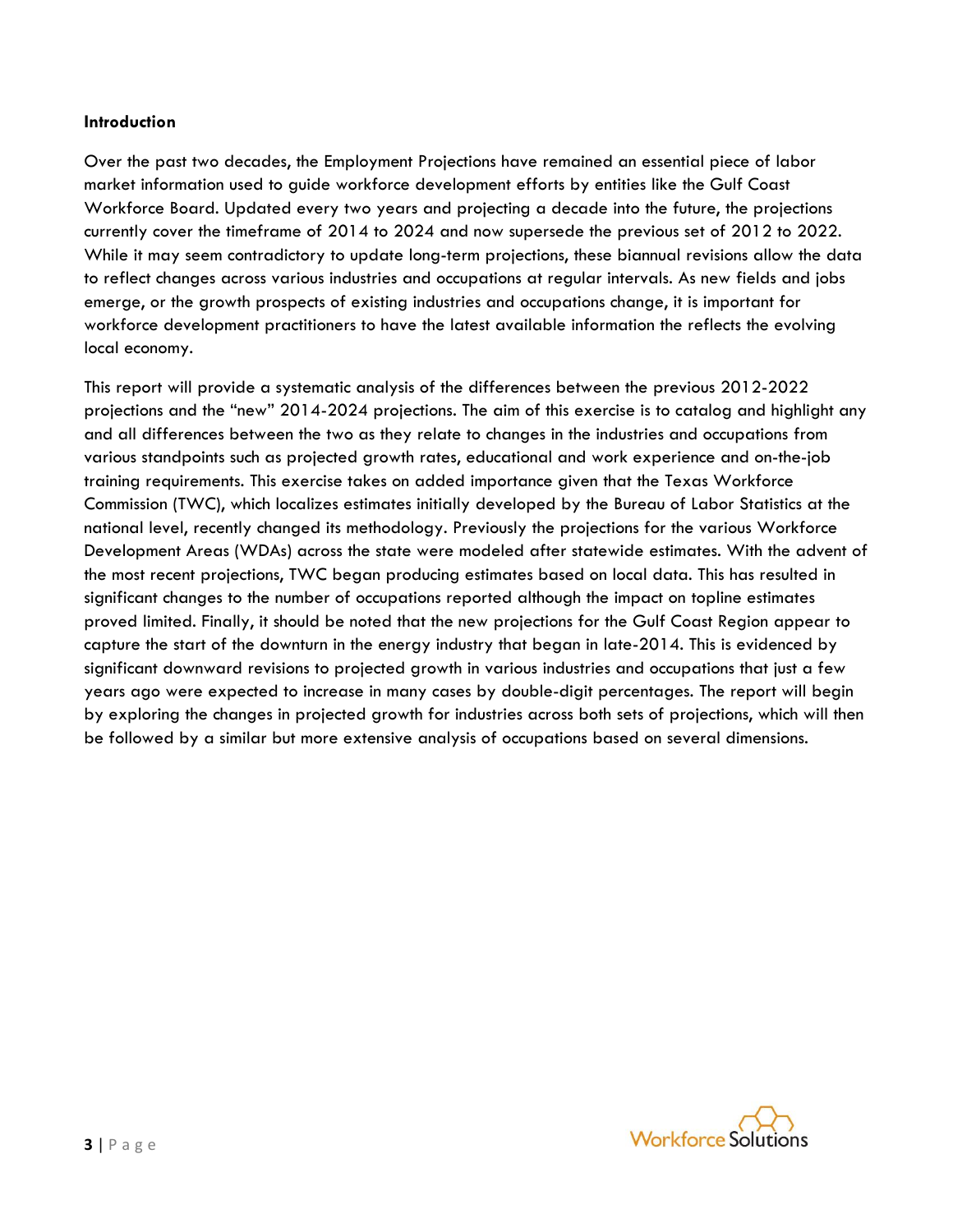#### **Introduction**

Over the past two decades, the Employment Projections have remained an essential piece of labor market information used to guide workforce development efforts by entities like the Gulf Coast Workforce Board. Updated every two years and projecting a decade into the future, the projections currently cover the timeframe of 2014 to 2024 and now supersede the previous set of 2012 to 2022. While it may seem contradictory to update long-term projections, these biannual revisions allow the data to reflect changes across various industries and occupations at regular intervals. As new fields and jobs emerge, or the growth prospects of existing industries and occupations change, it is important for workforce development practitioners to have the latest available information the reflects the evolving local economy.

This report will provide a systematic analysis of the differences between the previous 2012-2022 projections and the "new" 2014-2024 projections. The aim of this exercise is to catalog and highlight any and all differences between the two as they relate to changes in the industries and occupations from various standpoints such as projected growth rates, educational and work experience and on-the-job training requirements. This exercise takes on added importance given that the Texas Workforce Commission (TWC), which localizes estimates initially developed by the Bureau of Labor Statistics at the national level, recently changed its methodology. Previously the projections for the various Workforce Development Areas (WDAs) across the state were modeled after statewide estimates. With the advent of the most recent projections, TWC began producing estimates based on local data. This has resulted in significant changes to the number of occupations reported although the impact on topline estimates proved limited. Finally, it should be noted that the new projections for the Gulf Coast Region appear to capture the start of the downturn in the energy industry that began in late-2014. This is evidenced by significant downward revisions to projected growth in various industries and occupations that just a few years ago were expected to increase in many cases by double-digit percentages. The report will begin by exploring the changes in projected growth for industries across both sets of projections, which will then be followed by a similar but more extensive analysis of occupations based on several dimensions.

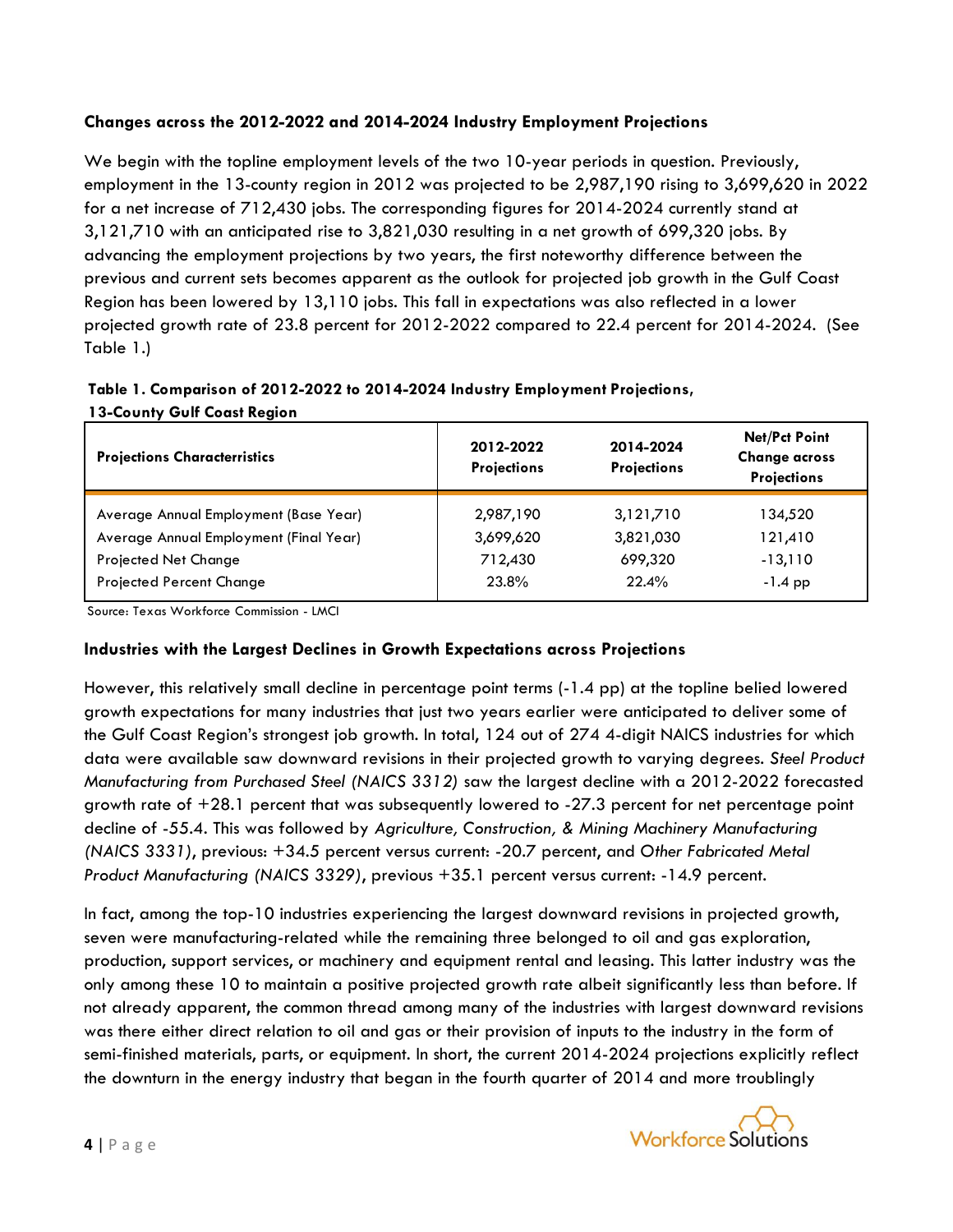# **Changes across the 2012-2022 and 2014-2024 Industry Employment Projections**

We begin with the topline employment levels of the two 10-year periods in question. Previously, employment in the 13-county region in 2012 was projected to be 2,987,190 rising to 3,699,620 in 2022 for a net increase of 712,430 jobs. The corresponding figures for 2014-2024 currently stand at 3,121,710 with an anticipated rise to 3,821,030 resulting in a net growth of 699,320 jobs. By advancing the employment projections by two years, the first noteworthy difference between the previous and current sets becomes apparent as the outlook for projected job growth in the Gulf Coast Region has been lowered by 13,110 jobs. This fall in expectations was also reflected in a lower projected growth rate of 23.8 percent for 2012-2022 compared to 22.4 percent for 2014-2024. (See Table 1.)

# **Table 1. Comparison of 2012-2022 to 2014-2024 Industry Employment Projections, 13-County Gulf Coast Region**

| <b>Projections Characterristics</b>    | 2012-2022<br><b>Projections</b> |           |           |
|----------------------------------------|---------------------------------|-----------|-----------|
| Average Annual Employment (Base Year)  | 2,987,190                       | 3,121,710 | 134,520   |
| Average Annual Employment (Final Year) | 3,699,620                       | 3,821,030 | 121,410   |
| <b>Projected Net Change</b>            | 712,430                         | 699,320   | $-13,110$ |
| <b>Projected Percent Change</b>        | 23.8%                           | 22.4%     | $-1.4$ pp |

Source: Texas Workforce Commission - LMCI

# **Industries with the Largest Declines in Growth Expectations across Projections**

However, this relatively small decline in percentage point terms (-1.4 pp) at the topline belied lowered growth expectations for many industries that just two years earlier were anticipated to deliver some of the Gulf Coast Region's strongest job growth. In total, 124 out of 274 4-digit NAICS industries for which data were available saw downward revisions in their projected growth to varying degrees. *Steel Product Manufacturing from Purchased Steel (NAICS 3312)* saw the largest decline with a 2012-2022 forecasted growth rate of  $+28.1$  percent that was subsequently lowered to  $-27.3$  percent for net percentage point decline of -55.4. This was followed by *Agriculture, Construction, & Mining Machinery Manufacturing (NAICS 3331)*, previous: +34.5 percent versus current: -20.7 percent, and *Other Fabricated Metal Product Manufacturing (NAICS 3329)*, previous +35.1 percent versus current: -14.9 percent.

In fact, among the top-10 industries experiencing the largest downward revisions in projected growth, seven were manufacturing-related while the remaining three belonged to oil and gas exploration, production, support services, or machinery and equipment rental and leasing. This latter industry was the only among these 10 to maintain a positive projected growth rate albeit significantly less than before. If not already apparent, the common thread among many of the industries with largest downward revisions was there either direct relation to oil and gas or their provision of inputs to the industry in the form of semi-finished materials, parts, or equipment. In short, the current 2014-2024 projections explicitly reflect the downturn in the energy industry that began in the fourth quarter of 2014 and more troublingly

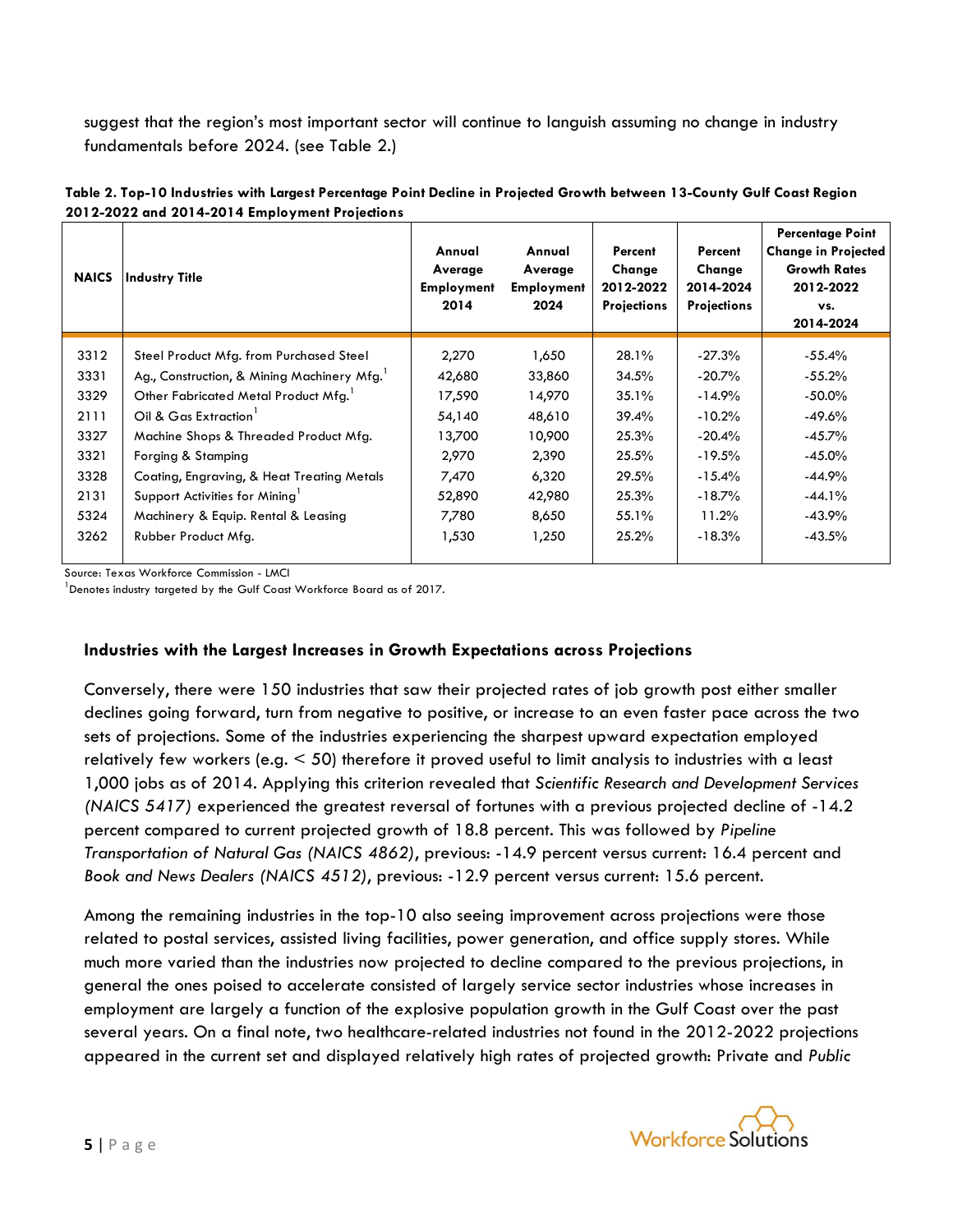suggest that the region's most important sector will continue to languish assuming no change in industry fundamentals before 2024. (see Table 2.)

| Table 2. Top-10 Industries with Largest Percentage Point Decline in Projected Growth between 13-County Gulf Coast Region |  |
|--------------------------------------------------------------------------------------------------------------------------|--|
| 2012-2022 and 2014-2014 Employment Projections                                                                           |  |

| <b>NAICS</b> | Industry Title                             | Annual<br>Average<br><b>Employment</b><br>2014 | Annual<br>Average<br><b>Employment</b><br>2024 | Percent<br>Change<br>2012-2022<br><b>Projections</b> | Percent<br>Change<br>2014-2024<br><b>Projections</b> | <b>Percentage Point</b><br><b>Change in Projected</b><br><b>Growth Rates</b><br>2012-2022<br>VS.<br>2014-2024 |
|--------------|--------------------------------------------|------------------------------------------------|------------------------------------------------|------------------------------------------------------|------------------------------------------------------|---------------------------------------------------------------------------------------------------------------|
| 3312         | Steel Product Mfg. from Purchased Steel    | 2,270                                          | 1,650                                          | 28.1%                                                | $-27.3\%$                                            | $-55.4\%$                                                                                                     |
| 3331         | Ag., Construction, & Mining Machinery Mfg. | 42,680                                         | 33,860                                         | 34.5%                                                | $-20.7\%$                                            | $-55.2\%$                                                                                                     |
| 3329         | Other Fabricated Metal Product Mfg.        | 17,590                                         | 14,970                                         | 35.1%                                                | $-14.9%$                                             | $-50.0\%$                                                                                                     |
| 2111         | Oil & Gas Extraction                       | 54,140                                         | 48,610                                         | 39.4%                                                | $-10.2\%$                                            | $-49.6%$                                                                                                      |
| 3327         | Machine Shops & Threaded Product Mfg.      | 13,700                                         | 10,900                                         | 25.3%                                                | $-20.4%$                                             | $-45.7\%$                                                                                                     |
| 3321         | Forging & Stamping                         | 2,970                                          | 2,390                                          | 25.5%                                                | $-19.5\%$                                            | $-45.0\%$                                                                                                     |
| 3328         | Coating, Engraving, & Heat Treating Metals | 7,470                                          | 6,320                                          | 29.5%                                                | $-15.4%$                                             | $-44.9%$                                                                                                      |
| 2131         | Support Activities for Mining              | 52,890                                         | 42,980                                         | 25.3%                                                | $-18.7\%$                                            | $-44.1%$                                                                                                      |
| 5324         | Machinery & Equip. Rental & Leasing        | 7,780                                          | 8,650                                          | 55.1%                                                | 11.2%                                                | $-43.9%$                                                                                                      |
| 3262         | Rubber Product Mfg.                        | 1,530                                          | 1,250                                          | 25.2%                                                | $-18.3\%$                                            | $-43.5%$                                                                                                      |

Source: Texas Workforce Commission - LMCI

<sup>1</sup> Denotes industry targeted by the Gulf Coast Workforce Board as of 2017.

#### **Industries with the Largest Increases in Growth Expectations across Projections**

Conversely, there were 150 industries that saw their projected rates of job growth post either smaller declines going forward, turn from negative to positive, or increase to an even faster pace across the two sets of projections. Some of the industries experiencing the sharpest upward expectation employed relatively few workers (e.g. < 50) therefore it proved useful to limit analysis to industries with a least 1,000 jobs as of 2014. Applying this criterion revealed that *Scientific Research and Development Services (NAICS 5417)* experienced the greatest reversal of fortunes with a previous projected decline of -14.2 percent compared to current projected growth of 18.8 percent. This was followed by *Pipeline Transportation of Natural Gas (NAICS 4862)*, previous: -14.9 percent versus current: 16.4 percent and *Book and News Dealers (NAICS 4512)*, previous: -12.9 percent versus current: 15.6 percent.

Among the remaining industries in the top-10 also seeing improvement across projections were those related to postal services, assisted living facilities, power generation, and office supply stores. While much more varied than the industries now projected to decline compared to the previous projections, in general the ones poised to accelerate consisted of largely service sector industries whose increases in employment are largely a function of the explosive population growth in the Gulf Coast over the past several years. On a final note, two healthcare-related industries not found in the 2012-2022 projections appeared in the current set and displayed relatively high rates of projected growth: Private and *Public* 

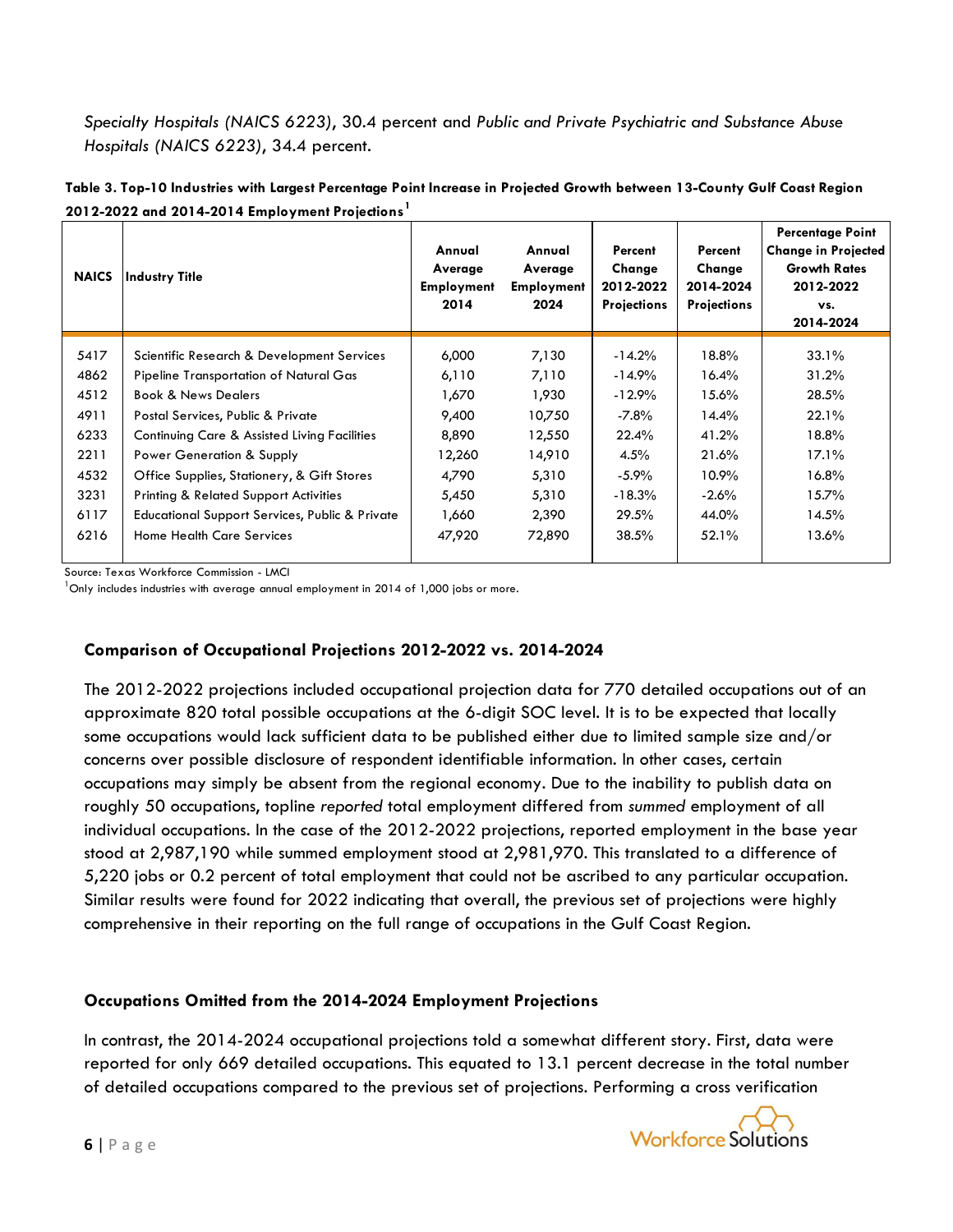*Specialty Hospitals (NAICS 6223)*, 30.4 percent and *Public and Private Psychiatric and Substance Abuse Hospitals (NAICS 6223)*, 34.4 percent.

| <b>NAICS</b> | Industry Title                                            | Annual<br>Average<br><b>Employment</b><br>2014 | Annual<br>Average<br><b>Employment</b><br>2024 | Percent<br>Change<br>2012-2022<br><b>Projections</b> | Percent<br>Change<br>2014-2024<br><b>Projections</b> | <b>Percentage Point</b><br><b>Change in Projected</b><br><b>Growth Rates</b><br>2012-2022<br>VS.<br>2014-2024 |
|--------------|-----------------------------------------------------------|------------------------------------------------|------------------------------------------------|------------------------------------------------------|------------------------------------------------------|---------------------------------------------------------------------------------------------------------------|
| 5417         | Scientific Research & Development Services                | 6,000                                          | 7,130                                          | $-14.2%$                                             | 18.8%                                                | 33.1%                                                                                                         |
| 4862         | Pipeline Transportation of Natural Gas                    | 6,110                                          | 7,110                                          | $-14.9%$                                             | 16.4%                                                | 31.2%                                                                                                         |
| 4512         | <b>Book &amp; News Dealers</b>                            | 1,670                                          | 1,930                                          | $-12.9%$                                             | $15.6\%$                                             | 28.5%                                                                                                         |
| 4911         | Postal Services, Public & Private                         | 9,400                                          | 10,750                                         | $-7.8%$                                              | 14.4%                                                | 22.1%                                                                                                         |
| 6233         | Continuing Care & Assisted Living Facilities              | 8,890                                          | 12,550                                         | 22.4%                                                | 41.2%                                                | 18.8%                                                                                                         |
| 2211         | Power Generation & Supply                                 | 12,260                                         | 14,910                                         | 4.5%                                                 | 21.6%                                                | $17.1\%$                                                                                                      |
| 4532         | Office Supplies, Stationery, & Gift Stores                | 4,790                                          | 5,310                                          | $-5.9\%$                                             | 10.9%                                                | 16.8%                                                                                                         |
| 3231         | <b>Printing &amp; Related Support Activities</b>          | 5,450                                          | 5,310                                          | $-18.3\%$                                            | $-2.6%$                                              | 15.7%                                                                                                         |
| 6117         | <b>Educational Support Services, Public &amp; Private</b> | 1,660                                          | 2,390                                          | 29.5%                                                | 44.0%                                                | 14.5%                                                                                                         |
| 6216         | <b>Home Health Care Services</b>                          | 47,920                                         | 72,890                                         | 38.5%                                                | 52.1%                                                | 13.6%                                                                                                         |

**Table 3. Top-10 Industries with Largest Percentage Point Increase in Projected Growth between 13-County Gulf Coast Region 2012-2022 and 2014-2014 Employment Projections<sup>1</sup>**

Source: Texas Workforce Commission - LMCI

 $^{\text{1}}$ Only includes industries with average annual employment in 2014 of 1,000 jobs or more.

# **Comparison of Occupational Projections 2012-2022 vs. 2014-2024**

The 2012-2022 projections included occupational projection data for 770 detailed occupations out of an approximate 820 total possible occupations at the 6-digit SOC level. It is to be expected that locally some occupations would lack sufficient data to be published either due to limited sample size and/or concerns over possible disclosure of respondent identifiable information. In other cases, certain occupations may simply be absent from the regional economy. Due to the inability to publish data on roughly 50 occupations, topline *reported* total employment differed from *summed* employment of all individual occupations. In the case of the 2012-2022 projections, reported employment in the base year stood at 2,987,190 while summed employment stood at 2,981,970. This translated to a difference of 5,220 jobs or 0.2 percent of total employment that could not be ascribed to any particular occupation. Similar results were found for 2022 indicating that overall, the previous set of projections were highly comprehensive in their reporting on the full range of occupations in the Gulf Coast Region.

# **Occupations Omitted from the 2014-2024 Employment Projections**

In contrast, the 2014-2024 occupational projections told a somewhat different story. First, data were reported for only 669 detailed occupations. This equated to 13.1 percent decrease in the total number of detailed occupations compared to the previous set of projections. Performing a cross verification

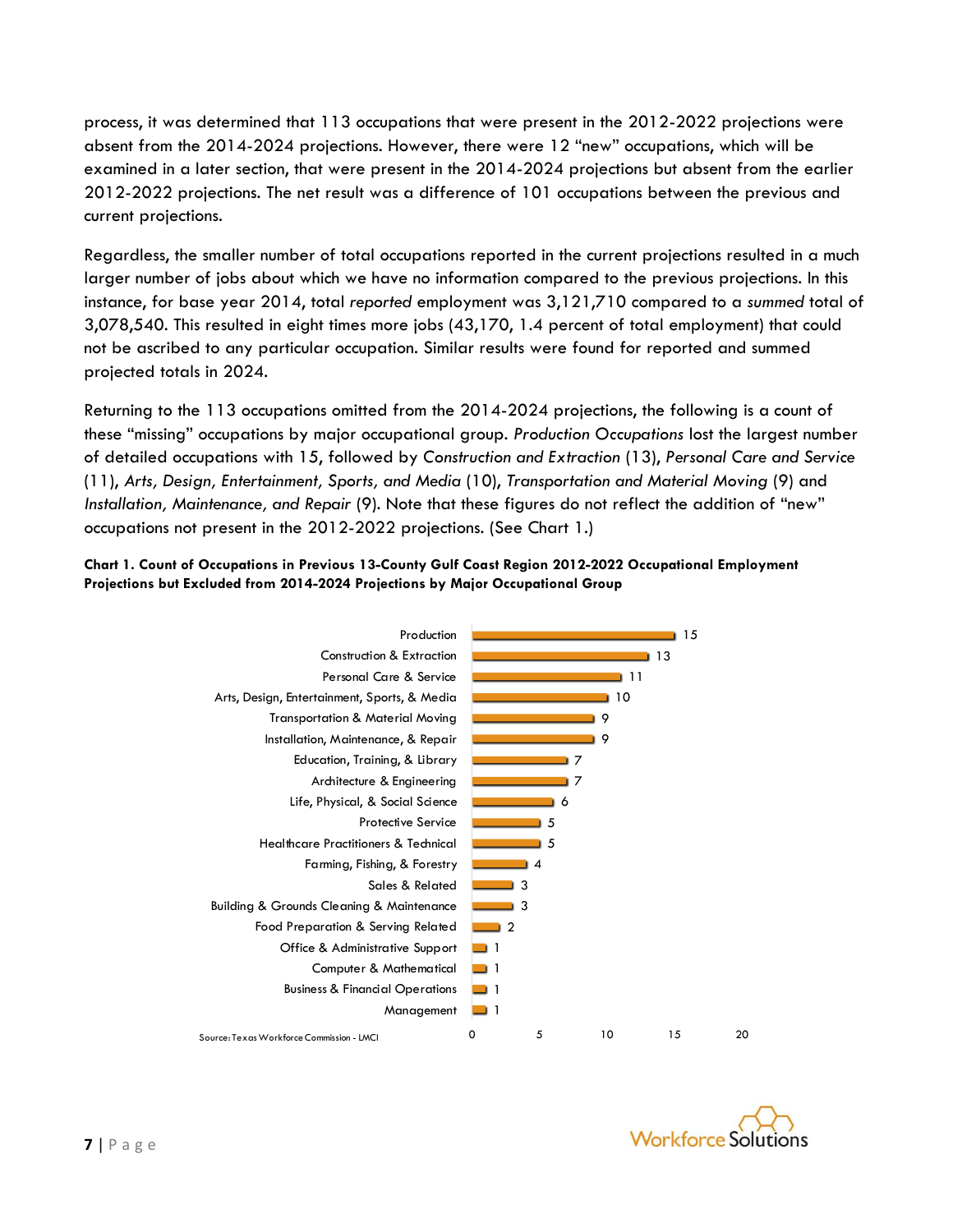process, it was determined that 113 occupations that were present in the 2012-2022 projections were absent from the 2014-2024 projections. However, there were 12 "new" occupations, which will be examined in a later section, that were present in the 2014-2024 projections but absent from the earlier 2012-2022 projections. The net result was a difference of 101 occupations between the previous and current projections.

Regardless, the smaller number of total occupations reported in the current projections resulted in a much larger number of jobs about which we have no information compared to the previous projections. In this instance, for base year 2014, total *reported* employment was 3,121,710 compared to a *summed* total of 3,078,540. This resulted in eight times more jobs (43,170, 1.4 percent of total employment) that could not be ascribed to any particular occupation. Similar results were found for reported and summed projected totals in 2024.

Returning to the 113 occupations omitted from the 2014-2024 projections, the following is a count of these "missing" occupations by major occupational group. *Production Occupations* lost the largest number of detailed occupations with 15, followed by *Construction and Extraction* (13), *Personal Care and Service* (11), *Arts, Design, Entertainment, Sports, and Media* (10), *Transportation and Material Moving* (9) and *Installation, Maintenance, and Repair* (9). Note that these figures do not reflect the addition of "new" occupations not present in the 2012-2022 projections. (See Chart 1.)

#### **Chart 1. Count of Occupations in Previous 13-County Gulf Coast Region 2012-2022 Occupational Employment Projections but Excluded from 2014-2024 Projections by Major Occupational Group**



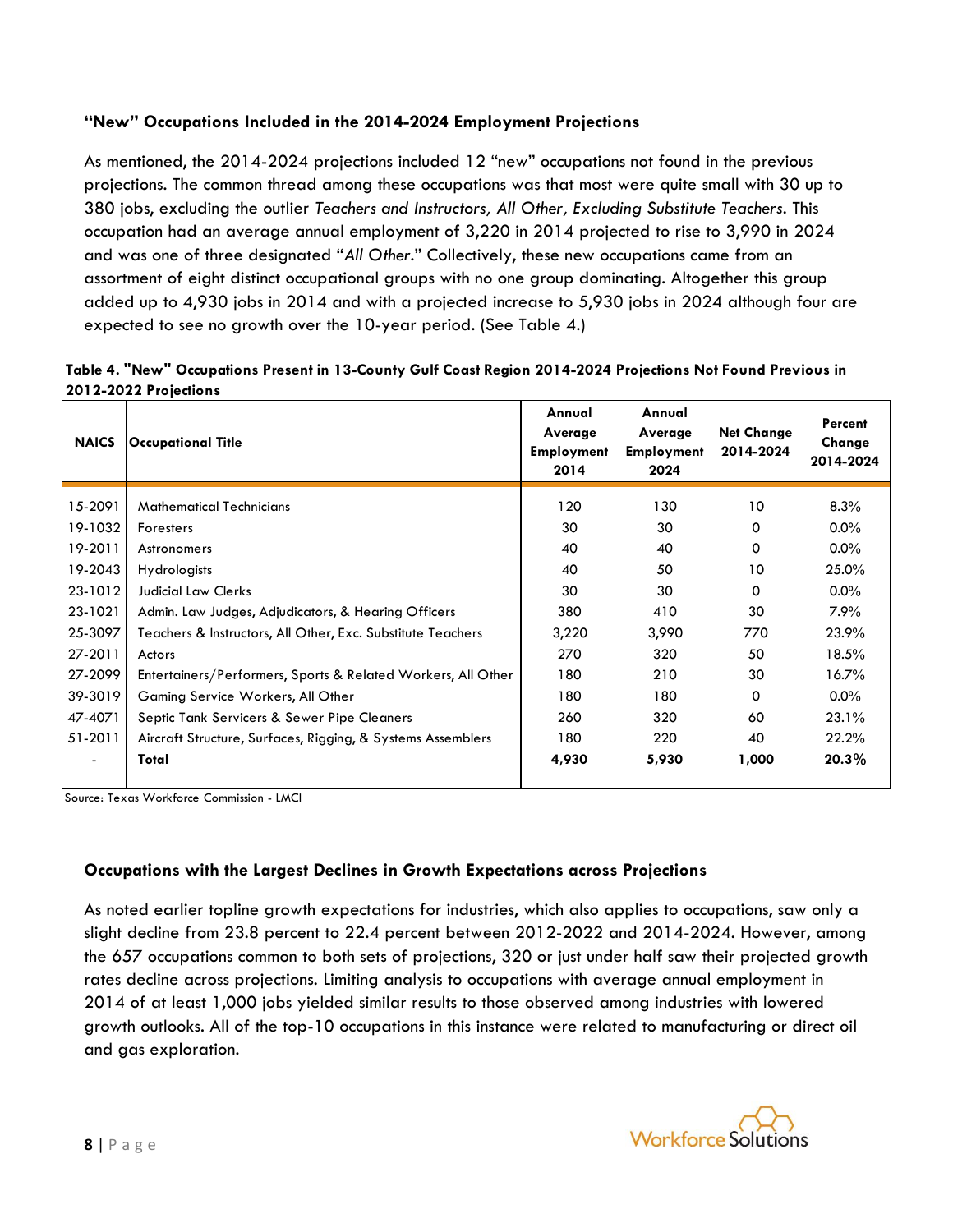# **"New" Occupations Included in the 2014-2024 Employment Projections**

As mentioned, the 2014-2024 projections included 12 "new" occupations not found in the previous projections. The common thread among these occupations was that most were quite small with 30 up to 380 jobs, excluding the outlier *Teachers and Instructors, All Other, Excluding Substitute Teachers*. This occupation had an average annual employment of 3,220 in 2014 projected to rise to 3,990 in 2024 and was one of three designated "*All Other*." Collectively, these new occupations came from an assortment of eight distinct occupational groups with no one group dominating. Altogether this group added up to 4,930 jobs in 2014 and with a projected increase to 5,930 jobs in 2024 although four are expected to see no growth over the 10-year period. (See Table 4.)

| <b>NAICS</b> | <b>Occupational Title</b>                                    | Annual<br>Average<br><b>Employment</b><br>2014 | Annual<br>Average<br><b>Employment</b><br>2024 | <b>Net Change</b><br>2014-2024 | Percent<br>Change<br>2014-2024 |
|--------------|--------------------------------------------------------------|------------------------------------------------|------------------------------------------------|--------------------------------|--------------------------------|
| 15-2091      | <b>Mathematical Technicians</b>                              | 120                                            | 130                                            | 10                             | 8.3%                           |
| 19-1032      | Foresters                                                    | 30                                             | 30                                             | 0                              | $0.0\%$                        |
| 19-2011      | Astronomers                                                  | 40                                             | 40                                             | 0                              | $0.0\%$                        |
| 19-2043      | <b>Hydrologists</b>                                          | 40                                             | 50                                             | 10                             | 25.0%                          |
| 23-1012      | <b>Judicial Law Clerks</b>                                   | 30                                             | 30                                             | 0                              | $0.0\%$                        |
| 23-1021      | Admin. Law Judges, Adjudicators, & Hearing Officers          | 380                                            | 410                                            | 30                             | 7.9%                           |
| 25-3097      | Teachers & Instructors, All Other, Exc. Substitute Teachers  | 3,220                                          | 3,990                                          | 770                            | 23.9%                          |
| 27-2011      | Actors                                                       | 270                                            | 320                                            | 50                             | 18.5%                          |
| 27-2099      | Entertainers/Performers, Sports & Related Workers, All Other | 180                                            | 210                                            | 30                             | 16.7%                          |
| 39-3019      | Gaming Service Workers, All Other                            | 180                                            | 180                                            | $\mathbf 0$                    | $0.0\%$                        |
| 47-4071      | Septic Tank Servicers & Sewer Pipe Cleaners                  | 260                                            | 320                                            | 60                             | 23.1%                          |
| 51-2011      | Aircraft Structure, Surfaces, Rigging, & Systems Assemblers  | 180                                            | 220                                            | 40                             | 22.2%                          |
|              | Total                                                        | 4,930                                          | 5,930                                          | 1,000                          | $20.3\%$                       |

| Table 4. "New" Occupations Present in 13-County Gulf Coast Region 2014-2024 Projections Not Found Previous in |
|---------------------------------------------------------------------------------------------------------------|
| 2012-2022 Projections                                                                                         |

Source: Texas Workforce Commission - LMCI

## **Occupations with the Largest Declines in Growth Expectations across Projections**

As noted earlier topline growth expectations for industries, which also applies to occupations, saw only a slight decline from 23.8 percent to 22.4 percent between 2012-2022 and 2014-2024. However, among the 657 occupations common to both sets of projections, 320 or just under half saw their projected growth rates decline across projections. Limiting analysis to occupations with average annual employment in 2014 of at least 1,000 jobs yielded similar results to those observed among industries with lowered growth outlooks. All of the top-10 occupations in this instance were related to manufacturing or direct oil and gas exploration.

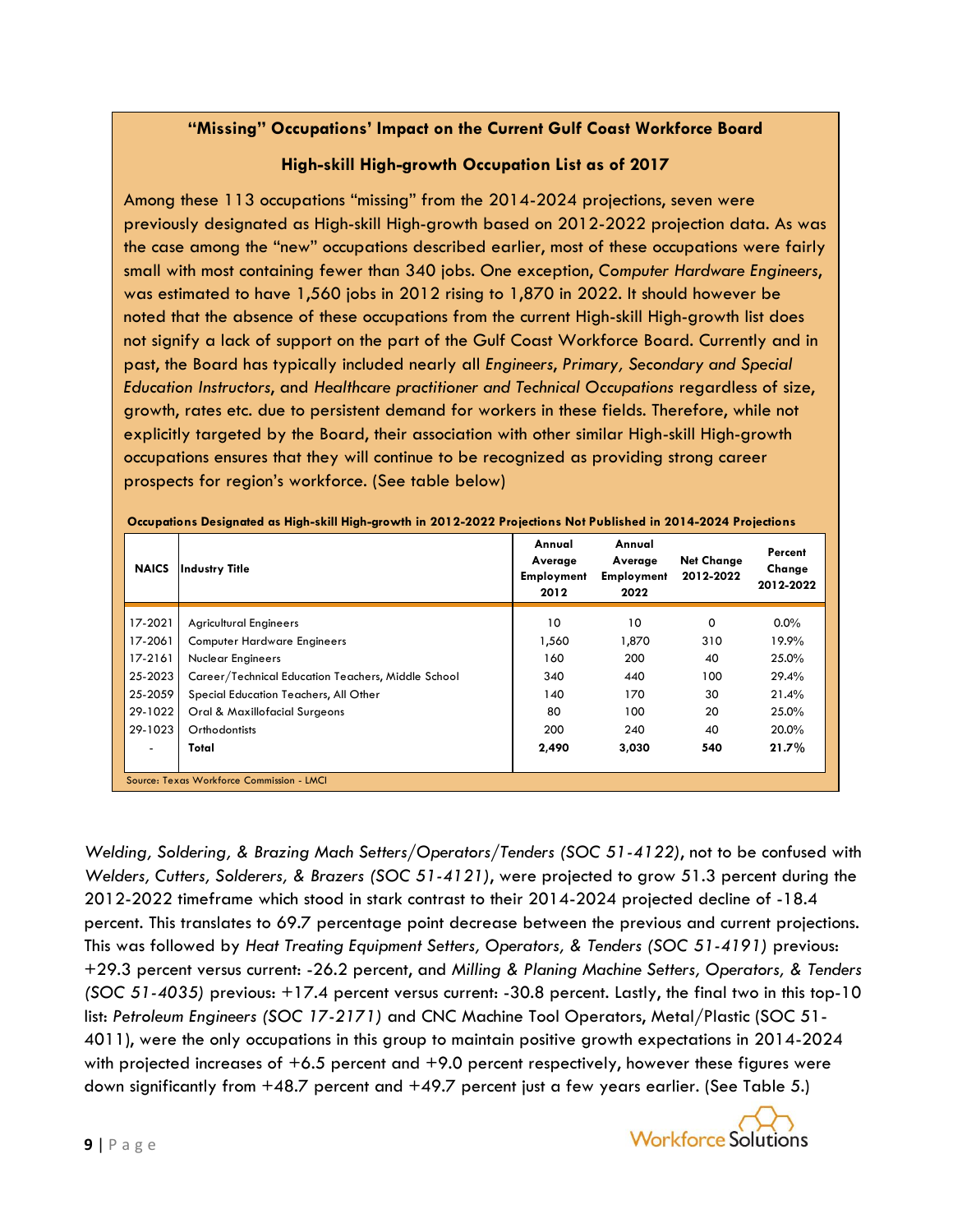# **"Missing" Occupations' Impact on the Current Gulf Coast Workforce Board**

# **High-skill High-growth Occupation List as of 2017**

Among these 113 occupations "missing" from the 2014-2024 projections, seven were previously designated as High-skill High-growth based on 2012-2022 projection data. As was the case among the "new" occupations described earlier, most of these occupations were fairly small with most containing fewer than 340 jobs. One exception, *Computer Hardware Engineers*, was estimated to have 1,560 jobs in 2012 rising to 1,870 in 2022. It should however be noted that the absence of these occupations from the current High-skill High-growth list does not signify a lack of support on the part of the Gulf Coast Workforce Board. Currently and in past, the Board has typically included nearly all *Engineers*, *Primary, Secondary and Special Education Instructors*, and *Healthcare practitioner and Technical Occupations* regardless of size, growth, rates etc. due to persistent demand for workers in these fields. Therefore, while not explicitly targeted by the Board, their association with other similar High-skill High-growth occupations ensures that they will continue to be recognized as providing strong career prospects for region's workforce. (See table below)

| <b>NAICS</b>             | <b>Industry Title</b>                              | Annual<br>Average<br><b>Employment</b><br>2012 | Annual<br>Average<br><b>Employment</b><br>2022 | <b>Net Change</b><br>2012-2022 | Percent<br>Change<br>2012-2022 |
|--------------------------|----------------------------------------------------|------------------------------------------------|------------------------------------------------|--------------------------------|--------------------------------|
| 17-2021                  | <b>Agricultural Engineers</b>                      | 10                                             | 10                                             | 0                              | $0.0\%$                        |
| 17-2061                  | <b>Computer Hardware Engineers</b>                 | 1,560                                          | 1,870                                          | 310                            | 19.9%                          |
| 17-2161                  | <b>Nuclear Engineers</b>                           | 160                                            | 200                                            | 40                             | 25.0%                          |
| 25-2023                  | Career/Technical Education Teachers, Middle School | 340                                            | 440                                            | 100                            | 29.4%                          |
| 25-2059                  | Special Education Teachers, All Other              | 140                                            | 170                                            | 30                             | 21.4%                          |
| 29-1022                  | Oral & Maxillofacial Surgeons                      | 80                                             | 100                                            | 20                             | 25.0%                          |
| 29-1023                  | Orthodontists                                      | 200                                            | 240                                            | 40                             | 20.0%                          |
| $\overline{\phantom{0}}$ | Total                                              | 2,490                                          | 3,030                                          | 540                            | 21.7%                          |
|                          | Source: Texas Workforce Commission - LMCI          |                                                |                                                |                                |                                |

**Occupations Designated as High-skill High-growth in 2012-2022 Projections Not Published in 2014-2024 Projections**

*Welding, Soldering, & Brazing Mach Setters/Operators/Tenders (SOC 51-4122)*, not to be confused with *Welders, Cutters, Solderers, & Brazers (SOC 51-4121)*, were projected to grow 51.3 percent during the 2012-2022 timeframe which stood in stark contrast to their 2014-2024 projected decline of -18.4 percent. This translates to 69.7 percentage point decrease between the previous and current projections. This was followed by *Heat Treating Equipment Setters, Operators, & Tenders (SOC 51-4191)* previous: +29.3 percent versus current: -26.2 percent, and *Milling & Planing Machine Setters, Operators, & Tenders (SOC 51-4035)* previous: +17.4 percent versus current: -30.8 percent. Lastly, the final two in this top-10 list: *Petroleum Engineers (SOC 17-2171)* and CNC Machine Tool Operators, Metal/Plastic (SOC 51- 4011), were the only occupations in this group to maintain positive growth expectations in 2014-2024 with projected increases of +6.5 percent and +9.0 percent respectively, however these figures were down significantly from  $+48.7$  percent and  $+49.7$  percent just a few years earlier. (See Table 5.)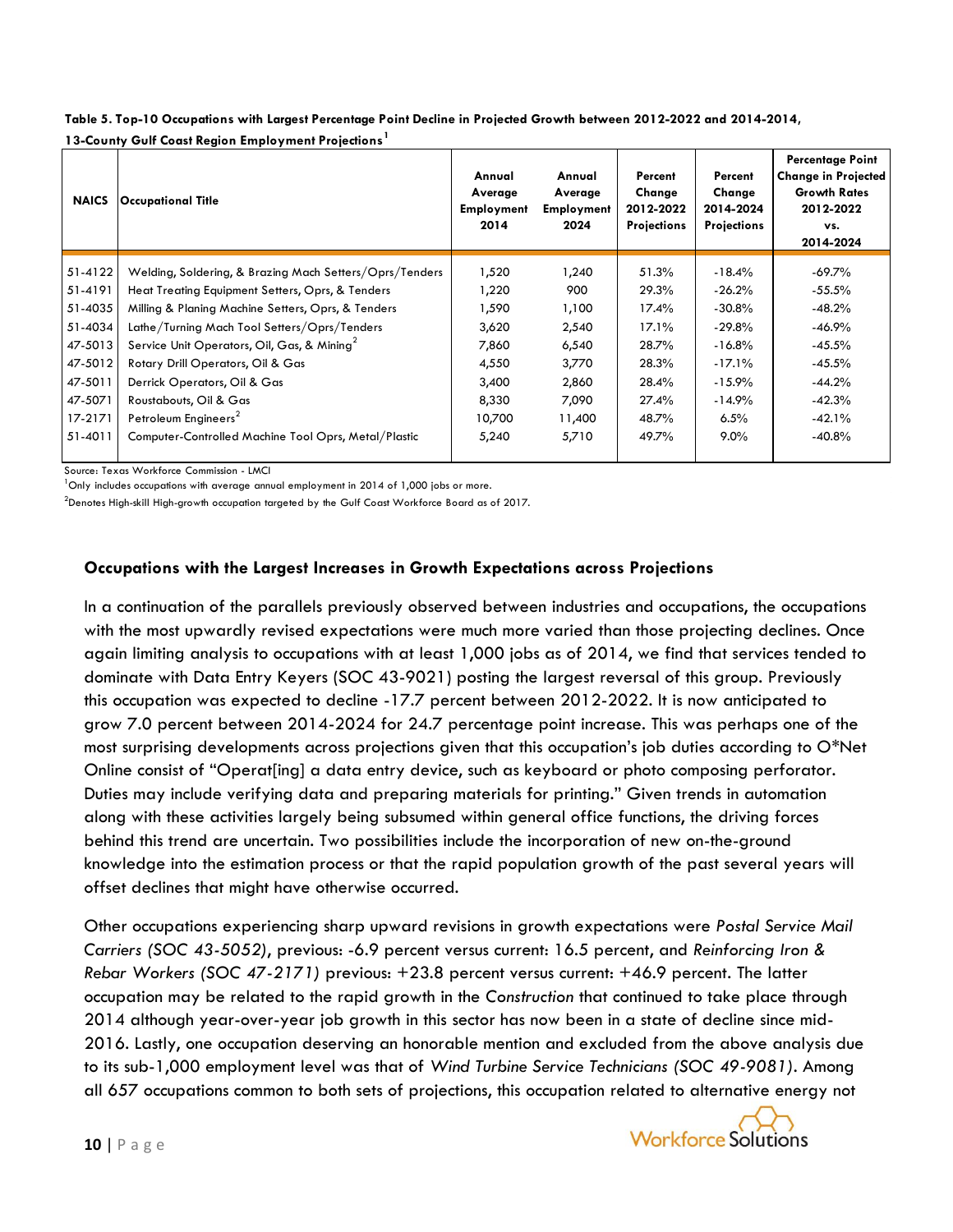| <b>NAICS</b> | <b>Occupational Title</b>                               | Annual<br>Average<br><b>Employment</b><br>2014 | Annual<br>Average<br><b>Employment</b><br>2024 | Percent<br>Change<br>2012-2022<br><b>Projections</b> | Percent<br>Change<br>2014-2024<br><b>Projections</b> | <b>Percentage Point</b><br><b>Change in Projected</b><br><b>Growth Rates</b><br>2012-2022<br>VS.<br>2014-2024 |
|--------------|---------------------------------------------------------|------------------------------------------------|------------------------------------------------|------------------------------------------------------|------------------------------------------------------|---------------------------------------------------------------------------------------------------------------|
| 51-4122      | Welding, Soldering, & Brazing Mach Setters/Oprs/Tenders | 1,520                                          | 1,240                                          | 51.3%                                                | $-18.4\%$                                            | -69.7%                                                                                                        |
| 51-4191      | Heat Treating Equipment Setters, Oprs, & Tenders        | 1,220                                          | 900                                            | 29.3%                                                | $-26.2%$                                             | $-55.5\%$                                                                                                     |
| 51-4035      | Milling & Planing Machine Setters, Oprs, & Tenders      | 1,590                                          | 1,100                                          | 17.4%                                                | $-30.8\%$                                            | $-48.2%$                                                                                                      |
| 51-4034      | Lathe/Turning Mach Tool Setters/Oprs/Tenders            | 3,620                                          | 2,540                                          | 17.1%                                                | $-29.8%$                                             | $-46.9%$                                                                                                      |
| 47-5013      | Service Unit Operators, Oil, Gas, & Mining <sup>2</sup> | 7,860                                          | 6,540                                          | 28.7%                                                | $-16.8%$                                             | $-45.5\%$                                                                                                     |
| 47-5012      | Rotary Drill Operators, Oil & Gas                       | 4,550                                          | 3,770                                          | 28.3%                                                | $-17.1\%$                                            | $-45.5\%$                                                                                                     |
| 47-5011      | Derrick Operators, Oil & Gas                            | 3,400                                          | 2,860                                          | 28.4%                                                | $-15.9\%$                                            | $-44.2%$                                                                                                      |
| 47-5071      | Roustabouts, Oil & Gas                                  | 8,330                                          | 7,090                                          | 27.4%                                                | $-14.9\%$                                            | $-42.3%$                                                                                                      |
| 17-2171      | Petroleum Engineers <sup>2</sup>                        | 10,700                                         | 11,400                                         | 48.7%                                                | 6.5%                                                 | $-42.1%$                                                                                                      |
| 51-4011      | Computer-Controlled Machine Tool Oprs, Metal/Plastic    | 5,240                                          | 5,710                                          | 49.7%                                                | $9.0\%$                                              | $-40.8%$                                                                                                      |

**Table 5. Top-10 Occupations with Largest Percentage Point Decline in Projected Growth between 2012-2022 and 2014-2014, 13-County Gulf Coast Region Employment Projections<sup>1</sup>**

Source: Texas Workforce Commission - LMCI

 $1$ Only includes occupations with average annual employment in 2014 of 1,000 jobs or more.

 $^2$ Denotes High-skill High-growth occupation targeted by the Gulf Coast Workforce Board as of 2017.

#### **Occupations with the Largest Increases in Growth Expectations across Projections**

In a continuation of the parallels previously observed between industries and occupations, the occupations with the most upwardly revised expectations were much more varied than those projecting declines. Once again limiting analysis to occupations with at least 1,000 jobs as of 2014, we find that services tended to dominate with Data Entry Keyers (SOC 43-9021) posting the largest reversal of this group. Previously this occupation was expected to decline -17.7 percent between 2012-2022. It is now anticipated to grow 7.0 percent between 2014-2024 for 24.7 percentage point increase. This was perhaps one of the most surprising developments across projections given that this occupation's job duties according to O\*Net Online consist of "Operat[ing] a data entry device, such as keyboard or photo composing perforator. Duties may include verifying data and preparing materials for printing." Given trends in automation along with these activities largely being subsumed within general office functions, the driving forces behind this trend are uncertain. Two possibilities include the incorporation of new on-the-ground knowledge into the estimation process or that the rapid population growth of the past several years will offset declines that might have otherwise occurred.

Other occupations experiencing sharp upward revisions in growth expectations were *Postal Service Mail Carriers (SOC 43-5052)*, previous: -6.9 percent versus current: 16.5 percent, and *Reinforcing Iron & Rebar Workers (SOC 47-2171)* previous: +23.8 percent versus current: +46.9 percent. The latter occupation may be related to the rapid growth in the *Construction* that continued to take place through 2014 although year-over-year job growth in this sector has now been in a state of decline since mid-2016. Lastly, one occupation deserving an honorable mention and excluded from the above analysis due to its sub-1,000 employment level was that of *Wind Turbine Service Technicians (SOC 49-9081)*. Among all 657 occupations common to both sets of projections, this occupation related to alternative energy not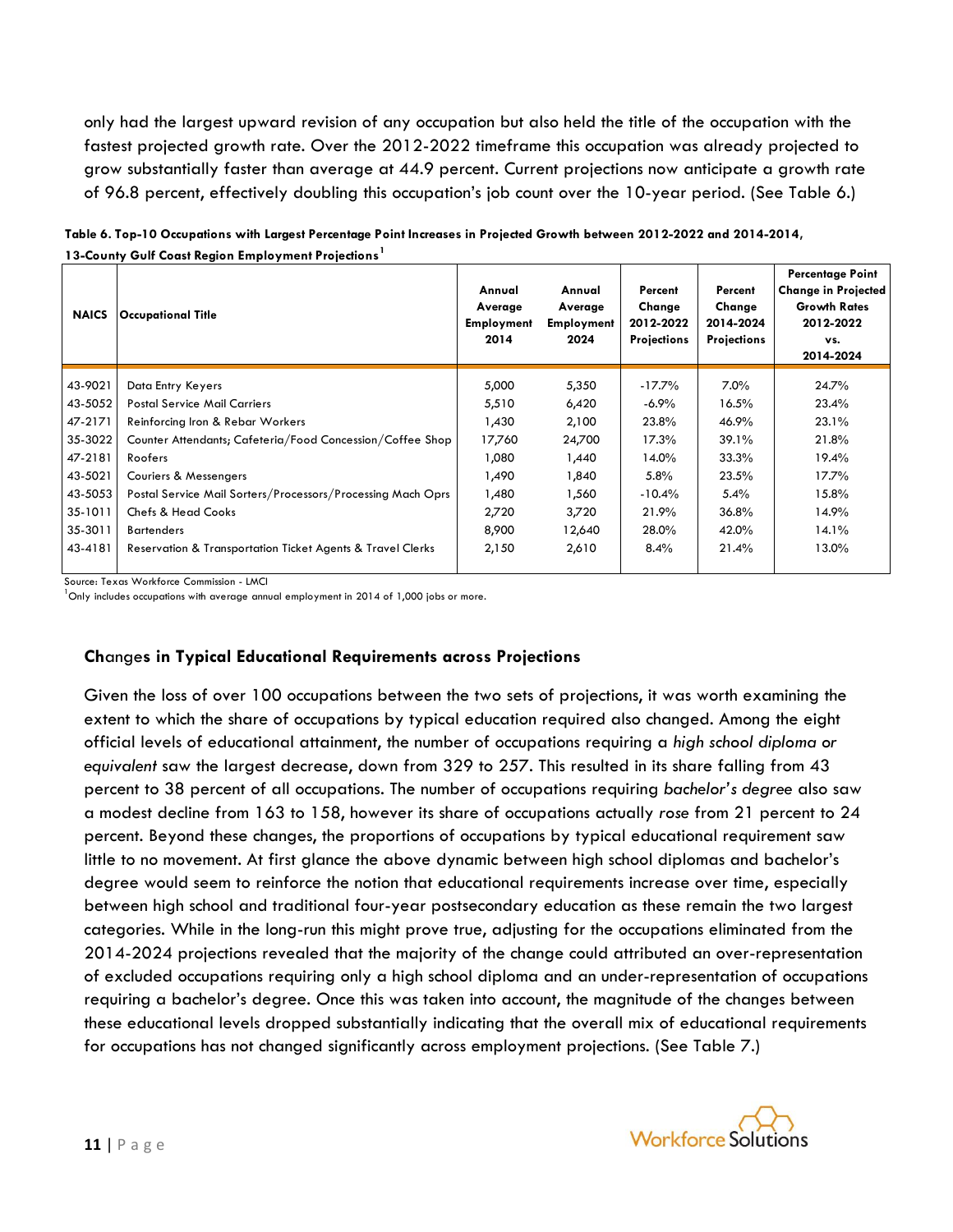only had the largest upward revision of any occupation but also held the title of the occupation with the fastest projected growth rate. Over the 2012-2022 timeframe this occupation was already projected to grow substantially faster than average at 44.9 percent. Current projections now anticipate a growth rate of 96.8 percent, effectively doubling this occupation's job count over the 10-year period. (See Table 6.)

| <b>NAICS</b> | <b>Occupational Title</b>                                   | Annual<br>Average<br><b>Employment</b><br>2014 | Annual<br>Average<br><b>Employment</b><br>2024 | Percent<br>Change<br>2012-2022<br><b>Projections</b> | Percent<br>Change<br>2014-2024<br><b>Projections</b> | <b>Percentage Point</b><br><b>Change in Projected</b><br><b>Growth Rates</b><br>2012-2022<br>vs.<br>2014-2024 |
|--------------|-------------------------------------------------------------|------------------------------------------------|------------------------------------------------|------------------------------------------------------|------------------------------------------------------|---------------------------------------------------------------------------------------------------------------|
| 43-9021      | Data Entry Keyers                                           | 5,000                                          | 5,350                                          | $-17.7\%$                                            | 7.0%                                                 | 24.7%                                                                                                         |
| 43-5052      | <b>Postal Service Mail Carriers</b>                         | 5,510                                          | 6,420                                          | $-6.9\%$                                             | 16.5%                                                | 23.4%                                                                                                         |
| 47-2171      | Reinforcing Iron & Rebar Workers                            | 1,430                                          | 2,100                                          | 23.8%                                                | 46.9%                                                | 23.1%                                                                                                         |
| 35-3022      | Counter Attendants; Cafeteria/Food Concession/Coffee Shop   | 17,760                                         | 24,700                                         | 17.3%                                                | 39.1%                                                | 21.8%                                                                                                         |
| 47-2181      | Roofers                                                     | 1,080                                          | 1,440                                          | 14.0%                                                | 33.3%                                                | 19.4%                                                                                                         |
| 43-5021      | <b>Couriers &amp; Messengers</b>                            | 1,490                                          | 1,840                                          | $5.8\%$                                              | 23.5%                                                | 17.7%                                                                                                         |
| 43-5053      | Postal Service Mail Sorters/Processors/Processing Mach Oprs | 1,480                                          | 1,560                                          | $-10.4\%$                                            | 5.4%                                                 | 15.8%                                                                                                         |
| 35-1011      | <b>Chefs &amp; Head Cooks</b>                               | 2,720                                          | 3,720                                          | 21.9%                                                | 36.8%                                                | 14.9%                                                                                                         |
| 35-3011      | <b>Bartenders</b>                                           | 8,900                                          | 12,640                                         | 28.0%                                                | 42.0%                                                | 14.1%                                                                                                         |
| 43-4181      | Reservation & Transportation Ticket Agents & Travel Clerks  | 2,150                                          | 2,610                                          | 8.4%                                                 | 21.4%                                                | 13.0%                                                                                                         |

**Table 6. Top-10 Occupations with Largest Percentage Point Increases in Projected Growth between 2012-2022 and 2014-2014, 13-County Gulf Coast Region Employment Projections<sup>1</sup>**

Source: Texas Workforce Commission - LMCI

 $^{\text{1}}$ Only includes occupations with average annual employment in 2014 of 1.000 jobs or more.

#### **Ch**ange**s in Typical Educational Requirements across Projections**

Given the loss of over 100 occupations between the two sets of projections, it was worth examining the extent to which the share of occupations by typical education required also changed. Among the eight official levels of educational attainment, the number of occupations requiring a *high school diploma or equivalent* saw the largest decrease, down from 329 to 257. This resulted in its share falling from 43 percent to 38 percent of all occupations. The number of occupations requiring *bachelor's degree* also saw a modest decline from 163 to 158, however its share of occupations actually *rose* from 21 percent to 24 percent. Beyond these changes, the proportions of occupations by typical educational requirement saw little to no movement. At first glance the above dynamic between high school diplomas and bachelor's degree would seem to reinforce the notion that educational requirements increase over time, especially between high school and traditional four-year postsecondary education as these remain the two largest categories. While in the long-run this might prove true, adjusting for the occupations eliminated from the 2014-2024 projections revealed that the majority of the change could attributed an over-representation of excluded occupations requiring only a high school diploma and an under-representation of occupations requiring a bachelor's degree. Once this was taken into account, the magnitude of the changes between these educational levels dropped substantially indicating that the overall mix of educational requirements for occupations has not changed significantly across employment projections. (See Table 7.)

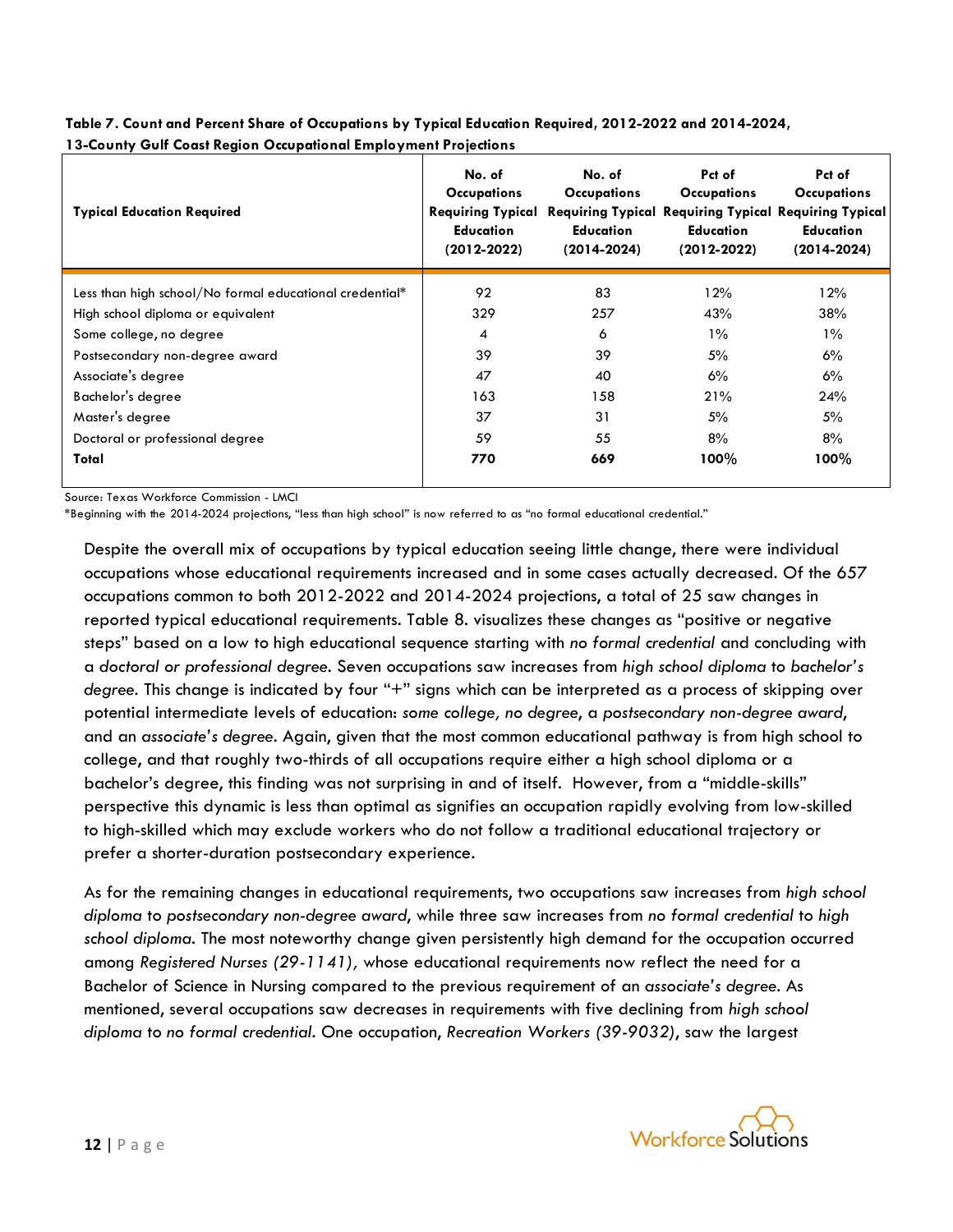| <b>Typical Education Required</b>                       | No. of<br><b>Occupations</b><br><b>Requiring Typical</b><br><b>Education</b><br>$(2012 - 2022)$ | No. of<br><b>Occupations</b><br>Education<br>$(2014 - 2024)$ | Pct of<br><b>Occupations</b><br><b>Education</b><br>$(2012 - 2022)$ | Pct of<br><b>Occupations</b><br><b>Requiring Typical Requiring Typical Requiring Typical</b><br><b>Education</b><br>(2014-2024) |
|---------------------------------------------------------|-------------------------------------------------------------------------------------------------|--------------------------------------------------------------|---------------------------------------------------------------------|---------------------------------------------------------------------------------------------------------------------------------|
| Less than high school/No formal educational credential* | 92                                                                                              | 83                                                           | 12%                                                                 | 12%                                                                                                                             |
| High school diploma or equivalent                       | 329                                                                                             | 257                                                          | 43%                                                                 | 38%                                                                                                                             |
| Some college, no degree                                 | 4                                                                                               | 6                                                            | $1\%$                                                               | $1\%$                                                                                                                           |
| Postsecondary non-degree award                          | 39                                                                                              | 39                                                           | 5%                                                                  | 6%                                                                                                                              |
| Associate's degree                                      | 47                                                                                              | 40                                                           | $6\%$                                                               | 6%                                                                                                                              |
| Bachelor's degree                                       | 163                                                                                             | 158                                                          | 21%                                                                 | 24%                                                                                                                             |
| Master's degree                                         | 37                                                                                              | 31                                                           | 5%                                                                  | 5%                                                                                                                              |
| Doctoral or professional degree                         | 59                                                                                              | 55                                                           | 8%                                                                  | 8%                                                                                                                              |
| Total                                                   | 770                                                                                             | 669                                                          | $100\%$                                                             | $100\%$                                                                                                                         |

**Table 7. Count and Percent Share of Occupations by Typical Education Required, 2012-2022 and 2014-2024, 13-County Gulf Coast Region Occupational Employment Projections**

Source: Texas Workforce Commission - LMCI

\*Beginning with the 2014-2024 projections, "less than high school" is now referred to as "no formal educational credential."

Despite the overall mix of occupations by typical education seeing little change, there were individual occupations whose educational requirements increased and in some cases actually decreased. Of the 657 occupations common to both 2012-2022 and 2014-2024 projections, a total of 25 saw changes in reported typical educational requirements. Table 8. visualizes these changes as "positive or negative steps" based on a low to high educational sequence starting with *no formal credential* and concluding with a *doctoral or professional degree*. Seven occupations saw increases from *high school diploma* to *bachelor's degree.* This change is indicated by four "+" signs which can be interpreted as a process of skipping over potential intermediate levels of education: *some college, no degree*, a *postsecondary non-degree award*, and an *associate's degree.* Again, given that the most common educational pathway is from high school to college, and that roughly two-thirds of all occupations require either a high school diploma or a bachelor's degree, this finding was not surprising in and of itself. However, from a "middle-skills" perspective this dynamic is less than optimal as signifies an occupation rapidly evolving from low-skilled to high-skilled which may exclude workers who do not follow a traditional educational trajectory or prefer a shorter-duration postsecondary experience.

As for the remaining changes in educational requirements, two occupations saw increases from *high school diploma* to *postsecondary non-degree award*, while three saw increases from *no formal credential* to *high school diploma*. The most noteworthy change given persistently high demand for the occupation occurred among *Registered Nurses (29-1141),* whose educational requirements now reflect the need for a Bachelor of Science in Nursing compared to the previous requirement of an *associate's degree*. As mentioned, several occupations saw decreases in requirements with five declining from *high school diploma* to *no formal credential.* One occupation, *Recreation Workers (39-9032)*, saw the largest

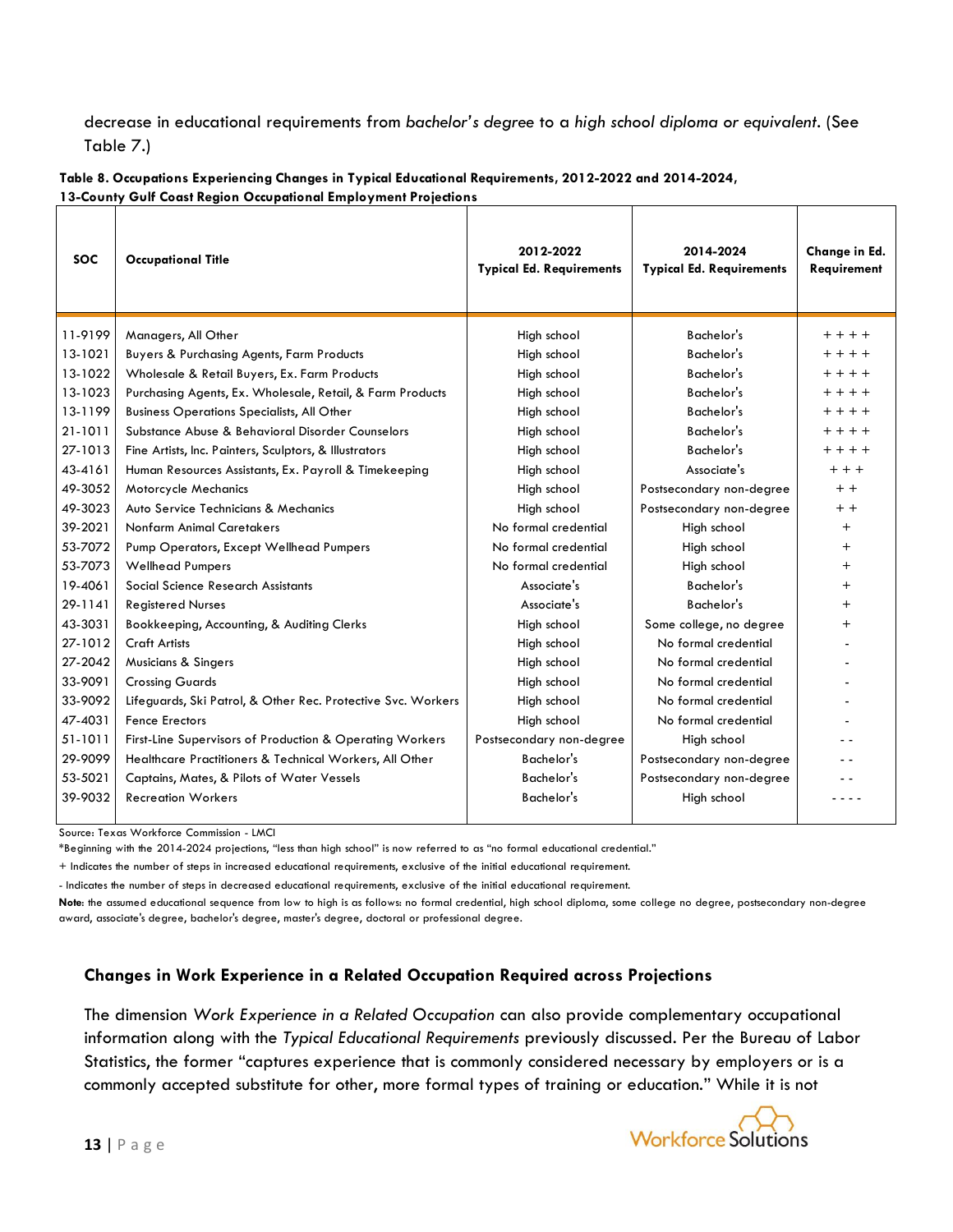decrease in educational requirements from *bachelor's degree* to a *high school diploma or equivalent*. (See Table 7.)

| Table 8. Occupations Experiencing Changes in Typical Educational Requirements, 2012-2022 and 2014-2024, |
|---------------------------------------------------------------------------------------------------------|
| 13-County Gulf Coast Region Occupational Employment Projections                                         |

| <b>SOC</b> | <b>Occupational Title</b>                                    | 2012-2022<br><b>Typical Ed. Requirements</b> | 2014-2024<br><b>Typical Ed. Requirements</b> | Change in Ed.<br>Requirement |
|------------|--------------------------------------------------------------|----------------------------------------------|----------------------------------------------|------------------------------|
| 11-9199    | Managers, All Other                                          | High school                                  | Bachelor's                                   | $+ + + +$                    |
| 13-1021    | <b>Buyers &amp; Purchasing Agents, Farm Products</b>         | High school                                  | Bachelor's                                   | $+ + + +$                    |
| 13-1022    | Wholesale & Retail Buyers, Ex. Farm Products                 | High school                                  | <b>Bachelor's</b>                            | $+ + + +$                    |
| 13-1023    | Purchasing Agents, Ex. Wholesale, Retail, & Farm Products    | High school                                  | Bachelor's                                   | $+ + + +$                    |
| 13-1199    | <b>Business Operations Specialists, All Other</b>            | High school                                  | Bachelor's                                   | $+ + + +$                    |
| 21-1011    | Substance Abuse & Behavioral Disorder Counselors             | High school                                  | Bachelor's                                   | $+ + + +$                    |
| 27-1013    | Fine Artists, Inc. Painters, Sculptors, & Illustrators       | High school                                  | Bachelor's                                   | $+ + + +$                    |
| 43-4161    | Human Resources Assistants, Ex. Payroll & Timekeeping        | High school                                  | Associate's                                  | $+ + +$                      |
| 49-3052    | Motorcycle Mechanics                                         | High school                                  | Postsecondary non-degree                     | $+ +$                        |
| 49-3023    | Auto Service Technicians & Mechanics                         | High school                                  | Postsecondary non-degree                     | $+ +$                        |
| 39-2021    | Nonfarm Animal Caretakers                                    | No formal credential                         | High school                                  | $^+$                         |
| 53-7072    | Pump Operators, Except Wellhead Pumpers                      | No formal credential                         | High school                                  | $\, +$                       |
| 53-7073    | <b>Wellhead Pumpers</b>                                      | No formal credential                         | High school                                  | $\ddot{}$                    |
| 19-4061    | Social Science Research Assistants                           | Associate's                                  | Bachelor's                                   | $\pm$                        |
| 29-1141    | <b>Registered Nurses</b>                                     | Associate's                                  | Bachelor's                                   | $^{+}$                       |
| 43-3031    | Bookkeeping, Accounting, & Auditing Clerks                   | High school                                  | Some college, no degree                      | $^+$                         |
| 27-1012    | <b>Craft Artists</b>                                         | High school                                  | No formal credential                         |                              |
| 27-2042    | <b>Musicians &amp; Singers</b>                               | High school                                  | No formal credential                         |                              |
| 33-9091    | <b>Crossing Guards</b>                                       | High school                                  | No formal credential                         |                              |
| 33-9092    | Lifeguards, Ski Patrol, & Other Rec. Protective Svc. Workers | High school                                  | No formal credential                         |                              |
| 47-4031    | <b>Fence Erectors</b>                                        | High school                                  | No formal credential                         |                              |
| 51-1011    | First-Line Supervisors of Production & Operating Workers     | Postsecondary non-degree                     | High school                                  |                              |
| 29-9099    | Healthcare Practitioners & Technical Workers, All Other      | <b>Bachelor's</b>                            | Postsecondary non-degree                     |                              |
| 53-5021    | Captains, Mates, & Pilots of Water Vessels                   | Bachelor's                                   | Postsecondary non-degree                     |                              |
| 39-9032    | <b>Recreation Workers</b>                                    | Bachelor's                                   | High school                                  |                              |
|            |                                                              |                                              |                                              |                              |

Source: Texas Workforce Commission - LMCI

\*Beginning with the 2014-2024 projections, "less than high school" is now referred to as "no formal educational credential."

+ Indicates the number of steps in increased educational requirements, exclusive of the initial educational requirement.

- Indicates the number of steps in decreased educational requirements, exclusive of the initial educational requirement.

**Note**: the assumed educational sequence from low to high is as follows: no formal credential, high school diploma, some college no degree, postsecondary non-degree award, associate's degree, bachelor's degree, master's degree, doctoral or professional degree.

# **Changes in Work Experience in a Related Occupation Required across Projections**

The dimension *Work Experience in a Related Occupation* can also provide complementary occupational information along with the *Typical Educational Requirements* previously discussed. Per the Bureau of Labor Statistics, the former "captures experience that is commonly considered necessary by employers or is a commonly accepted substitute for other, more formal types of training or education." While it is not

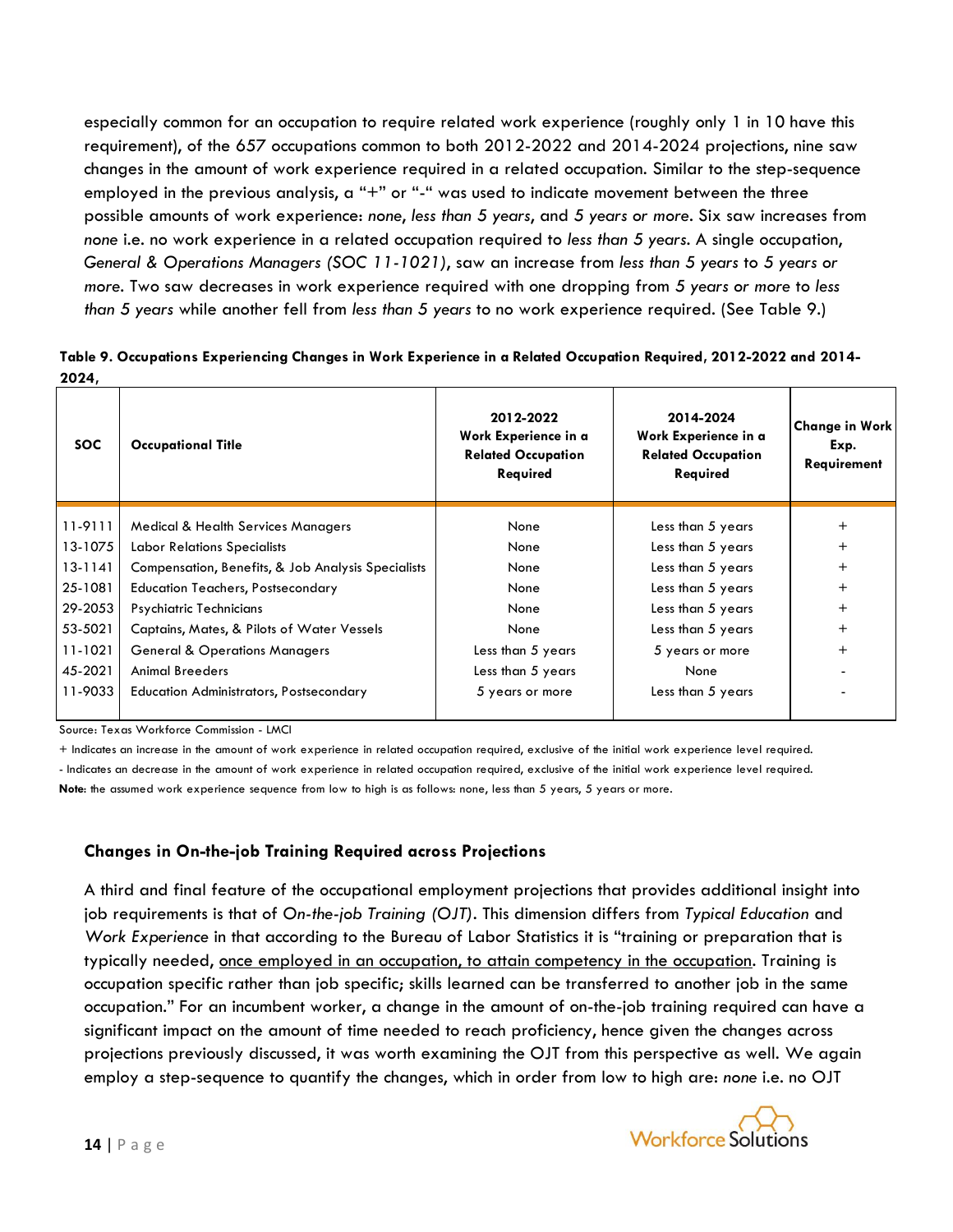especially common for an occupation to require related work experience (roughly only 1 in 10 have this requirement), of the 657 occupations common to both 2012-2022 and 2014-2024 projections, nine saw changes in the amount of work experience required in a related occupation. Similar to the step-sequence employed in the previous analysis, a "+" or "-" was used to indicate movement between the three possible amounts of work experience: *none*, *less than 5 years*, and *5 years or more*. Six saw increases from *none* i.e. no work experience in a related occupation required to *less than 5 years*. A single occupation, *General & Operations Managers (SOC 11-1021)*, saw an increase from *less than 5 years* to *5 years or more*. Two saw decreases in work experience required with one dropping from *5 years or more* to *less than 5 years* while another fell from *less than 5 years* to no work experience required. (See Table 9.)

**Table 9. Occupations Experiencing Changes in Work Experience in a Related Occupation Required, 2012-2022 and 2014- 2024,** 

| SOC.    | <b>Occupational Title</b>                          | 2012-2022<br>Work Experience in a<br><b>Related Occupation</b><br>Required | 2014-2024<br>Work Experience in a<br><b>Related Occupation</b><br>Required | <b>Change in Work</b><br>Exp.<br>Requirement |
|---------|----------------------------------------------------|----------------------------------------------------------------------------|----------------------------------------------------------------------------|----------------------------------------------|
| 11-9111 | <b>Medical &amp; Health Services Managers</b>      | None                                                                       | Less than 5 years                                                          | $^+$                                         |
| 13-1075 | <b>Labor Relations Specialists</b>                 | None                                                                       | Less than 5 years                                                          |                                              |
| 13-1141 | Compensation, Benefits, & Job Analysis Specialists | None                                                                       | Less than 5 years                                                          | $^{+}$                                       |
| 25-1081 | <b>Education Teachers, Postsecondary</b>           | None                                                                       | Less than 5 years                                                          | $^+$                                         |
| 29-2053 | Psychiatric Technicians                            | None                                                                       | Less than 5 years                                                          | $^{+}$                                       |
| 53-5021 | Captains, Mates, & Pilots of Water Vessels         | None                                                                       | Less than 5 years                                                          | $^{+}$                                       |
| 11-1021 | <b>General &amp; Operations Managers</b>           | Less than 5 years                                                          | 5 years or more                                                            | $^{+}$                                       |
| 45-2021 | <b>Animal Breeders</b>                             | Less than 5 years                                                          | None                                                                       |                                              |
| 11-9033 | <b>Education Administrators, Postsecondary</b>     | 5 years or more                                                            | Less than 5 years                                                          |                                              |

Source: Texas Workforce Commission - LMCI

+ Indicates an increase in the amount of work experience in related occupation required, exclusive of the initial work experience level required. - Indicates an decrease in the amount of work experience in related occupation required, exclusive of the initial work experience level required. Note: the assumed work experience sequence from low to high is as follows: none, less than 5 years, 5 years or more.

# **Changes in On-the-job Training Required across Projections**

A third and final feature of the occupational employment projections that provides additional insight into job requirements is that of *On-the-job Training (OJT)*. This dimension differs from *Typical Education* and *Work Experience* in that according to the Bureau of Labor Statistics it is "training or preparation that is typically needed, once employed in an occupation, to attain competency in the occupation. Training is occupation specific rather than job specific; skills learned can be transferred to another job in the same occupation." For an incumbent worker, a change in the amount of on-the-job training required can have a significant impact on the amount of time needed to reach proficiency, hence given the changes across projections previously discussed, it was worth examining the OJT from this perspective as well. We again employ a step-sequence to quantify the changes, which in order from low to high are: *none* i.e. no OJT